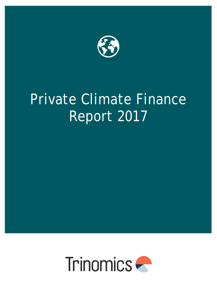

# Private Climate Finance Report 2017

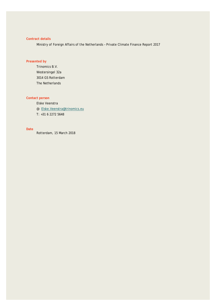#### **Contract details**

Ministry of Foreign Affairs of the Netherlands – Private Climate Finance Report 2017

#### **Presented by**

Trinomics B.V. Westersingel 32a 3014 GS Rotterdam The Netherlands

#### **Contact person**

Elske Veenstra @: [Elske.Veenstra@trinomics.eu](mailto:Elske.Veenstra@trinomics.eu) T: +31 6 2272 5648

#### **Date**

Rotterdam, 15 March 2018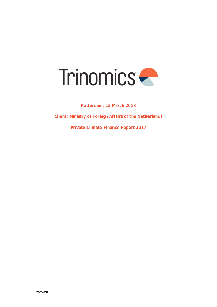

**Rotterdam, 15 March 2018**

**Client: Ministry of Foreign Affairs of the Netherlands**

**Private Climate Finance Report 2017**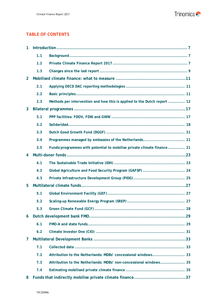

# **TABLE OF CONTENTS**

| 1 |     |                                                                          |
|---|-----|--------------------------------------------------------------------------|
|   | 1.1 |                                                                          |
|   | 1.2 |                                                                          |
|   | 1.3 |                                                                          |
| 2 |     |                                                                          |
|   | 2.1 |                                                                          |
|   | 2.2 |                                                                          |
|   | 2.3 | Methods per intervention and how this is applied to the Dutch report  12 |
| 3 |     |                                                                          |
|   | 3.1 |                                                                          |
|   | 3.2 |                                                                          |
|   | 3.3 |                                                                          |
|   | 3.4 |                                                                          |
|   | 3.5 | Funds/programmes with potential to mobilise private climate finance  21  |
| 4 |     |                                                                          |
|   | 4.1 |                                                                          |
|   | 4.2 |                                                                          |
|   | 4.3 |                                                                          |
| 5 |     |                                                                          |
|   | 5.1 |                                                                          |
|   | 5.2 |                                                                          |
|   | 5.3 |                                                                          |
| 6 |     |                                                                          |
|   | 6.1 |                                                                          |
|   | 6.2 |                                                                          |
| 7 |     |                                                                          |
|   | 7.1 |                                                                          |
|   | 7.2 |                                                                          |
|   | 7.3 | Attribution to the Netherlands: MDBs' non-concessional windows 35        |
|   | 7.4 |                                                                          |
| 8 |     |                                                                          |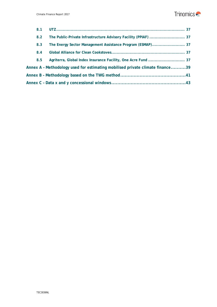# Trinomics -

|     | 8.1 |                                                                               |  |
|-----|-----|-------------------------------------------------------------------------------|--|
| 8.2 |     |                                                                               |  |
| 8.3 |     |                                                                               |  |
| 8.4 |     |                                                                               |  |
| 8.5 |     |                                                                               |  |
|     |     | Annex A - Methodology used for estimating mobilised private climate finance39 |  |
|     |     |                                                                               |  |
|     |     |                                                                               |  |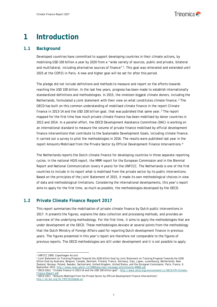

# <span id="page-6-0"></span>**1 Introduction**

### <span id="page-6-1"></span>**1.1 Background**

Developed countries have committed to support developing countries in their climate actions, by mobilising USD 100 billion a year by 2020 from a "wide variety of sources, public and private, bilateral and multilateral, including alternative sources of finance".<sup>1</sup>. This goal was reiterated and extended until 2025 at the COP21 in Paris. A new and higher goal will be set for after this period.

The pledge did not include definitions and methods to measure and report on the efforts towards reaching the USD 100 billion. In the last few years, progress has been made to establish internationally standardized definitions and methodologies. In 2015, the nineteen biggest climate donors, including the Netherlands, formulated a joint statement with their view on what constitutes climate finance.<sup>2</sup> The OECD has built on this common understanding of mobilised climate finance in the report *Climate*  finance in 2013-14 and the USD 100 billion goal, that was published that same year.<sup>3</sup> The report mapped for the first time how much private climate finance has been mobilised by donor countries in 2013 and 2014. In a parallel effort, the OECD Development Assistance Committee (DAC) is working on an international standard to measure the volume of private finance mobilised by official development finance interventions that contribute to the Sustainable Development Goals, including climate finance. It carried out a survey to pilot the methodologies in 2016. The results were published last year in the report Amounts Mobilised from the Private Sector by Official Development Finance Interventions..<sup>4</sup>

The Netherlands reports the Dutch climate finance for developing countries in three separate reporting cycles: in the national HGIS report, the MMR report for the European Commission and in the Biennial Report and National Communication (every 4 years) for the UNFCCC. The Netherlands is one of the first countries to include in its report what is mobilised from the private sector by its public interventions. Based on the principles of the Joint Statement of 2015, it made its own methodological choices in view of data and methodological limitations. Considering the international developments, this year's report aims to apply for the first time, as much as possible, the methodologies developed by the OECD.

# <span id="page-6-2"></span>**1.2 Private Climate Finance Report 2017**

This report summarises the mobilisation of private climate finance by Dutch public interventions in 2017. It presents the figures, explains the data collection and processing methods, and provides an overview of the underlying methodology. For the first time, it aims to apply the methodologies that are under development at the OECD. These methodologies deviate at several points from the methodology that the Dutch Ministry of Foreign Affairs used for reporting Dutch development finance in previous years. The figures presented in this year's report are therefore not comparable to the figures of previous reports. The OECD methodologies are still under development and it is not possible to apply

<sup>2</sup> Joint Statement on Tracking Progress Towards the \$100 billion Goal by Joint Statement on Tracking Progress Towards the \$100 billion Goal by Australia, Belgium, Canada, Denmark, Finland, France, Germany, Italy, Japan, Luxembourg, Netherlands, New Zealand, Norway, Poland, Sweden, Switzerland, United Kingdom, United States, and the European Commission. Paris, France, 6 September 2015[, http://www.news.admin.ch/NSBSubscriber/message/attachments/40866.pdf](http://www.news.admin.ch/NSBSubscriber/message/attachments/40866.pdf)

 <sup>1</sup> UNFCCC 2009, Copenhagen Accord.

<sup>3</sup> OECD 2015, "Climate finance in 2013-14 and the USD 100 billion goal", [http://www.oecd.org/environment/cc/OECD-CPI-Climate-](http://www.oecd.org/environment/cc/OECD-CPI-Climate-Finance-Report.pdf)[Finance-Report.pdf](http://www.oecd.org/environment/cc/OECD-CPI-Climate-Finance-Report.pdf)

<sup>4</sup> OECD 2017, "Amounts Mobilised from the Private Sector by Official Development Finance Interventions", <http://dx.doi.org/10.1787/8135abde-en>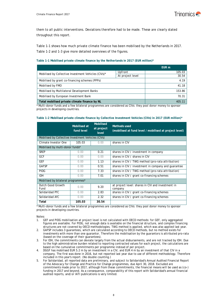

them to all public interventions. Deviations therefore had to be made. These are clearly stated throughout this report.

Table 1-1 shows how much private climate finance has been mobilised by the Netherlands in 2017. Table 1-2 and 1-3 give more detailed overviews of the figures.

#### **Table 1-1 Mobilised private climate finance by the Netherlands in 2017 (EUR million)\***

|                                                     |                  | EUR m  |
|-----------------------------------------------------|------------------|--------|
| Mobilised by Collective Investment Vehicles (CIVs)* | <b>Upfront</b>   | 105.03 |
|                                                     | At project level | 30.54  |
| Mobilised by grant co-financing schemes (PPPs)      | 4.19             |        |
| Mobilised by FMO                                    | 41.18            |        |
| Mobilised by Multilateral Development Banks         | 153.86           |        |
| Mobilised by European Investment Bank               | 70.31            |        |
| Total mobilised private climate finance by NL       | 405.11           |        |

\* Multi-donor funds and a few bilateral programmes are considered as CIVs: they pool donor money to sponsor projects in developing countries.

#### **Table 1-2 Mobilised private climate finance by Collective Investment Vehicles (CIVs) in 2017 (EUR million)\***

|                                                    | Mobilised at<br>fund level | <b>Mobilised</b><br>at project<br>level | Methods used<br>(mobilised at fund level / mobilised at project level) |
|----------------------------------------------------|----------------------------|-----------------------------------------|------------------------------------------------------------------------|
| Mobilised by Collective Investment Vehicles (CIVs) |                            |                                         |                                                                        |
| Climate Investor One                               | 105.03                     | 0.00                                    | shares in CIV                                                          |
| Mobilised by multi-donor funds*                    |                            |                                         |                                                                        |
| <b>SREP</b>                                        | 0.00                       | 0.21                                    | shares in CIV / investment in company                                  |
| <b>GCF</b>                                         | 0.00                       | 0.00                                    | shares in $CIV$ / shares in $CIV$                                      |
| <b>GEF</b>                                         | 0.00                       | 1.13                                    | shares in CIV / TWG method (pro-rata attribution)                      |
| <b>GAFSP</b>                                       | 0.00                       | 0.51                                    | shares in $CIV$ / investment in company and guarantee                  |
| <b>PIDG</b>                                        | 0.00                       | 7.33                                    | shares in CIV / TWG method (pro-rata attribution)                      |
| <b>IDH</b>                                         | 0.00                       | 7.01                                    | shares in CIV / grant co-financing schemes                             |
| Mobilised by bilateral programmes*                 |                            |                                         |                                                                        |
| Dutch Good Growth<br>Fund                          | 0.00                       | 9.20                                    | at project level: shares in CIV and investment in<br>company           |
| Solidaridad PfC                                    | 0.00                       | 2.83                                    | shares in CIV / grant co-financing schemes                             |
| Solidaridad AfC                                    | 0.00                       | 2.32                                    | shares in CIV / grant co-financing schemes                             |
| Total                                              | 105.03                     | 30.54                                   |                                                                        |

\* Multi-donor funds and a few bilateral programmes are considered as CIVs: they pool donor money to sponsor projects in developing countries.

Notes:

- 1. GEF and PIDG mobilisation at project level is not calculated with OECD methods: for GEF, only aggregated figures are available. For PIDG, not enough data is available on the financial structure, and complex financing structures are not covered by OECD methodologies. TWG method is applied, which was also applied last year.
- 2. GAFSP includes 3 guarantees, which are calculated according to OECD methods, but no method exists for investments with more than one guarantor. Therefore the mobilisation by the guarantors is attributed pro-rata (based on the coverage of their guarantees).
- 3. For IDH, the commitments can deviate largely from the actual disbursements, and are not tracked by IDH. Due to the high administrative burden related to reporting contracted values for each project, the calculations are based on the cumulative commitments per programme instead of per project.
- 4. DGGF has mobilised EUR 5.2 m by an investment in a CIV, and EUR 4 m by an investment of that CIV in a company. The first was done in 2016, but not reported last year due to use of different methodology. Therefore included in this year's report. (No double counting.)
- 5. For Solidaridad, all reported data are preliminary, and subject to Solidaridad's Annual Audited Financial Report of the Advocacy for Change and Practice for Change programmes, due April 30, 2018. Excluded are commitments made prior to 2017, although from these commitments, the financial means will be used as (co-) funding in 2017 and beyond. As a consequence, comparability of this report with Solidaridad's annual financial audited reports, and/or IATI publications is very limited.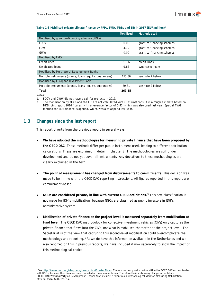

#### **Table 1-3 Mobilised private climate finance by PPPs, FMO, MDBs and EIB in 2017 (EUR million)\***

|                                                          | <b>Mobilised</b> | Methods used               |
|----------------------------------------------------------|------------------|----------------------------|
| Mobilised by grant co-financing schemes (PPPs)           |                  |                            |
| <b>FDOV</b>                                              | 0.00             | grant co-financing schemes |
| <b>FDW</b>                                               | 4.19             | grant co-financing schemes |
| <b>GWW</b>                                               | 0.00             | grant co-financing schemes |
| Mobilised by FMO                                         |                  |                            |
| Credit lines                                             | 31.36            | credit lines               |
| Syndicated Ioans                                         | 9.82             | syndicated loans           |
| Mobilised by Multilateral Development Banks              |                  |                            |
| Multiple instruments (grants, loans, equity, quarantees) | 153.86           | see note 2 below           |
| Mobilised by European Investment Bank                    |                  |                            |
| Multiple instruments (grants, loans, equity, quarantees) | 70.31            | see note 2 below           |
| Total                                                    | 269.55           |                            |

Notes:

1. FDOV and GWW did not have a call for projects in 2017.<br>2. The mobilisation by MDBs and the FIB are not calculated

2. The mobilisation by MDBs and the EIB are not calculated with OECD methods: it is a rough estimate based on MDB joint report 2016 figures, with a leverage factor of 0.42, which was also used last year. Special TWG method for MDB finance is applied, which was also applied last year.

### <span id="page-8-0"></span>**1.3 Changes since the last report**

This report diverts from the previous report in several ways:

- **We have adopted the methodologies for measuring private finance that have been proposed by the OECD DAC**. These methods differ per public instrument used, leading to different attribution calculations. These are explained in detail in chapter 2. The methodologies are still under development and do not yet cover all instruments. Any deviations to these methodologies are clearly explained in the text.
- **The point of measurement has changed from disbursements to commitments.** This decision was made to be in line with the OECD DAC reporting instructions. All figures reported in this report are commitment-based.
- **•** NGOs are considered private, in line with current OECD definitions.<sup>5</sup> This new classification is not made for IDH's mobilisation, because NGOs are classified as public investors in IDH's administrative system.
- **Mobilisation of private finance at the project level is measured separately from mobilisation at fund level.** The OECD DAC methodology for collective investment vehicles (CIVs) only captures the private finance that flows into the CIVs, not what is mobilised thereafter at the project level. The Secretariat is of the view that capturing this second-level mobilisation could overcomplicate the methodology and reporting..<sup>6</sup> As we do have this information available in the Netherlands and we also reported on this in previous reports, we have included it now separately to show the impact of this methodological choice.

<sup>5</sup> See http://www.oecd.org/dac/dac-glossary.htm#Private Flows. There is currently a discussion within the OECD DAC on how to deal with NGOs, because their finance is not provided on commercial terms. Therefore their status may change in the future. <sup>6</sup> OECD DAC Working Party on Development Finance Statistics 2017, 'Continued Methodological Work on Measuring Mobilisation', DCD/DAC/STAT(2017)22, p.4.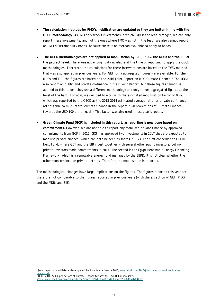

- **The calculation methods for FMO's mobilisation are updated so they are better in line with the OECD methodology.** As FMO only tracks investments in which FMO is the lead arranger, we can only report these investments, and not the ones where FMO was not in the lead. We also cannot report on FMO's Sustainability Bonds, because there is no method available to apply to bonds.
- **The OECD methodologies are not applied to mobilisation by GEF, PIDG, the MDBs and the EIB at the project level.** There was not enough data available at the time of reporting to apply the OECD methodologies. Therefore, the calculations for these interventions are based on the TWG method that was also applied in previous years. For GEF, only aggregated figures were available. For the MDBs and EIB, the figures are based on the 2016 Joint Report on MDB Climate Finance.<sup>7</sup> The MDBs also report on public and private co-finance in their Joint Report, but these figures cannot be applied to this report: they use a different methodology and only report aggregated figures at the level of the bank. For now, we decided to work with the estimated mobilisation factor of 0.42, which was reported by the OECD as the 2013-2014 estimated average ratio for private co-finance attributable to multilateral climate finance in the report *2020 projections of Climate Finance*  towards the USD 100 billion goal.<sup>8</sup> This factor was also used in last year's report.
- **Green Climate Fund (GCF) is included in this report, as reporting is now done based on commitments.** However, we are not able to report any mobilised private finance by approved commitments from GCF in 2017. GCF has approved two investments in 2017 that are expected to mobilise private finance, which can both be seen as shares in CIVs. The first concerns the GEEREF Next Fund, where GCF and the EIB invest together with several other public investors, but no private investors made commitments in 2017. The second is the Egypt Renewable Energy Financing Framework, which is a renewable energy fund managed by the EBRD. It is not clear whether the other sponsors include private entities. Therefore, no mobilisation is reported.

The methodological changes have large implications on the figures. The figures reported this year are therefore not comparable to the figures reported in previous years (with the exception of GEF, PIDG and the MDBs and EIB).

 <sup>7</sup> Joint report on multilateral development banks' climate finance 2016[, www.ebrd.com/2016-joint-report-on-mdbs-climate-](http://www.ebrd.com/2016-joint-report-on-mdbs-climate-finance.pdf)

finance.pdf.<br>8 OECD 2016, '2020 projections of Climate Finance towards the USD 100 billion goal'

<http://www.oecd.org/environment/cc/Projecting%20Climate%20Change%202020%20WEB.pdf>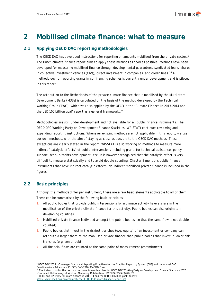

# <span id="page-10-0"></span>**2 Mobilised climate finance: what to measure**

# <span id="page-10-1"></span>**2.1 Applying OECD DAC reporting methodologies**

The OECD DAC has developed instructions for reporting on amounts mobilised from the private sector.<sup>9</sup> The Dutch climate finance report aims to apply these methods as good as possible. Methods have been developed for measuring mobilised finance through developmental guarantees, syndicated loans, shares in collective investment vehicles (CIVs), direct investment in companies, and credit lines.<sup>10</sup> A methodology for reporting grants in co-financing schemes is currently under development and is piloted in this report.

The attribution to the Netherlands of the private climate finance that is mobilised by the Multilateral Development Banks (MDBs) is calculated on the basis of the method developed by the Technical Working Group (TWG), which was also applied by the OECD in the '*Climate Finance in 2013-2014 and*  the USD 100 billion goal' report as a general framework.<sup>11</sup>

Methodologies are still under development and not available for all public finance instruments. The OECD DAC Working Party on Development Finance Statistics (WP-STAT) continues reviewing and expanding reporting instructions. Whenever existing methods are not applicable in this report, we use our own methods, with the aim of staying as close as possible to the OECD DAC methods. These exceptions are clearly stated in the report. WP-STAT is also working on methods to measure more indirect "catalytic effects" of public interventions including grants for technical assistance, policy support, feed-in-tariffs development, etc. It is however recognized that the catalytic effect is very difficult to measure statistically and to avoid double counting. Chapter 8 mentions public finance instruments that have indirect catalytic effects. No indirect mobilised private finance is included in the figures.

# <span id="page-10-2"></span>**2.2 Basic principles**

Although the methods differ per instrument, there are a few basic elements applicable to all of them. These can be summarised by the following basic principles:

- 1. All public bodies that provide public interventions for a climate activity have a share in the mobilisation of the private climate finance for this activity. Public bodies can also originate in developing countries;
- 2. Mobilised private finance is divided amongst the public bodies, so that the same flow is not double counted;
- 3. Public bodies that invest in the riskiest tranches (e.g. equity) of an investment or company can attribute a larger share of the mobilised private finance than public bodies that invest in lower risk tranches (e.g. senior debt);
- 4. All financial flows are counted at the same point of measurement (commitment).

 <sup>9</sup> OECD DAC 2016, 'Converged Statistical Reporting Directives for the Creditor Reporting System (CRS) and the Annual DAC Questionnaire - Addendum 1', DCD/DAC(2016)3/ADD1/FINAL.

<sup>&</sup>lt;sup>10</sup> The instructions for the last two instruments are described in: OECD DAC Working Party on Development Finance Statistics 2017, 'Continued Methodological Work on Measuring Mobilisation', DCD/DAC/STAT(2017)22.

<sup>11</sup> OECD and CPI 2015, 'Climate finance in 2013-14 and the USD 100 billion goal' Annex F,

<http://www.oecd.org/environment/cc/OECD-CPI-Climate-Finance-Report.pdf>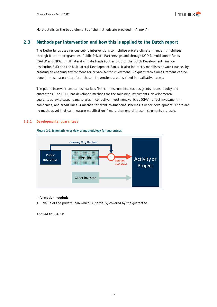

More details on the basic elements of the methods are provided in Annex A.

### <span id="page-11-0"></span>**2.3 Methods per intervention and how this is applied to the Dutch report**

The Netherlands uses various public interventions to mobilise private climate finance. It mobilises through bilateral programmes (Public-Private Partnerships and through NGOs), multi-donor funds (GAFSP and PIDG), multilateral climate funds (GEF and GCF), the Dutch Development Finance Institution FMO and the Multilateral Development Banks. It also indirectly mobilises private finance, by creating an enabling environment for private sector investment. No quantitative measurement can be done in these cases; therefore, these interventions are described in qualitative terms.

The public interventions can use various financial instruments, such as grants, loans, equity and guarantees. The OECD has developed methods for the following instruments: developmental guarantees, syndicated loans, shares in collective investment vehicles (CIVs), direct investment in companies, and credit lines. A method for grant co-financing schemes is under development. There are no methods yet that can measure mobilisation if more than one of these instruments are used.

#### *2.3.1 Developmental guarantees*



#### **Figure 2-1 Schematic overview of methodology for guarantees**

#### **Information needed:**

1. Value of the private loan which is (partially) covered by the guarantee.

**Applied to:** GAFSP.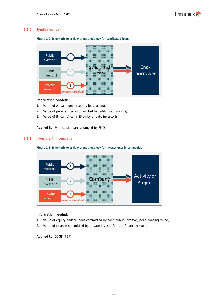

#### *2.3.2 Syndicated loan*



**Figure 2-2 Schematic overview of methodology for syndicated loans**

#### **Information needed:**

- 1. Value of A-loan committed by lead arranger;
- 2. Value of parallel loans committed by public institution(s);
- 3. Value of B-loan(s) committed by private investor(s).

**Applied to:** Syndicated loans arranged by FMO.

#### *2.3.3 Investment in company*

**Figure 2-3 Schematic overview of methodology for investments in companies**



**Information needed:**

- 1. Value of equity and/or loans committed by each public investor, per financing round;
- 2. Value of finance committed by private investor(s), per financing round.

**Applied to:** DGGF (FEF).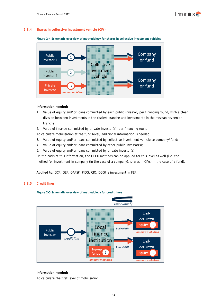

#### *2.3.4 Shares in collective investment vehicle (CIV)*



**Figure 2-4 Schematic overview of methodology for shares in collective investment vehicles**

#### **Information needed:**

- 1. Value of equity and/or loans committed by each public investor, per financing round, with a clear division between investments in the riskiest tranche and investments in the mezzanine/senior tranche;
- 2. Value of finance committed by private investor(s), per financing round;
- To calculate mobilisation at the fund level, additional information is needed:
- 3. Value of equity and/or loans committed by collective investment vehicle to company/fund;
- 4. Value of equity and/or loans committed by other public investor(s);
- 5. Value of equity and/or loans committed by private investor(s).

On the basis of this information, the OECD methods can be applied for this level as well (i.e. the method for investment in company (in the case of a company), shares in CIVs (in the case of a fund).

**Applied to:** GCF, GEF, GAFSP, PIDG, CIO, DGGF's investment in FEF.

#### *2.3.5 Credit lines*





#### **Information needed:**

To calculate the first level of mobilisation: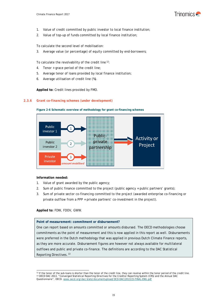

- 1. Value of credit committed by public investor to local finance institution;
- 2. Value of top-up of funds committed by local finance institution;

To calculate the second level of mobilisation:

3. Average value (or percentage) of equity committed by end-borrowers;

To calculate the revolvability of the credit line.<sup>12</sup>:

- 4. Tenor + grace period of the credit line;
- 5. Average tenor of loans provided by local finance institution;
- 6. Average utilisation of credit line (%).

**Applied to:** Credit lines provided by FMO.

#### *2.3.6 Grant co-financing schemes (under development)*



#### **Figure 2-6 Schematic overview of methodology for grant co-financing schemes**

#### **Information needed:**

- 1. Value of grant awarded by the public agency;
- 2. Sum of public finance committed to the project (public agency + public partners' grants);
- 3. Sum of private sector co-financing committed to the project (awarded enterprise co-financing or private outflow from a PPP + private partners' co-investment in the project).

#### **Applied to:** FDW, FDOV, GWW.

#### **Point of measurement: commitment or disbursement?**

One can report based on amounts committed or amounts disbursed. The OECD methodologies choose commitments as the point of measurement and this is now applied in this report as well. Disbursements were preferred in the Dutch methodology that was applied in previous Dutch Climate Finance reports, as they are more accurate. Disbursement figures are however not always available for multilateral outflows and public and private co-finance. The definitions are according to the DAC Statistical Reporting Directives..<sup>13</sup>

 $12$  If the tenor of the sub-loans is shorter than the tenor of the credit line, they can revolve within the tenor period of the credit line.<br><sup>13</sup> OECD DAC 2013, "Converged Statistical Reporting Directives for the Credito Questionnaire", OECD. [www.oecd.org/dac/stats/documentupload/DCD-DAC\(2013\)15-FINAL-ENG.pdf](http://www.oecd.org/dac/stats/documentupload/DCD-DAC(2013)15-FINAL-ENG.pdf)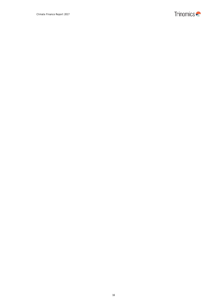Climate Finance Report 2017

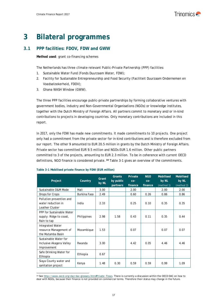

# <span id="page-16-0"></span>**3 Bilateral programmes**

# <span id="page-16-1"></span>**3.1 PPP facilities: FDOV, FDW and GWW**

**Method used**: grant co-financing schemes

The Netherlands has three climate-relevant Public-Private Partnership (PPP) facilities:

- 1. Sustainable Water Fund (Fonds Duurzaam Water, FDW);
- 2. Facility for Sustainable Entrepreneurship and Food Security (Faciliteit Duurzaam Ondernemen en Voedselzekerheid, FDOV);
- 3. Ghana WASH Window (GWW).

The three PPP facilities encourage public-private partnerships by forming collaborative ventures with government bodies, industry and Non-Governmental Organisations (NGOs) or knowledge institutes, together with the Dutch Ministry of Foreign Affairs. All partners commit to monetary and/or in-kind contributions to projects in developing countries. Only monetary contributions are included in this report.

In 2017, only the FDW has made new commitments. It made commitments to 10 projects. One project only had a commitment from the private sector for in-kind contributions and is therefore excluded from our report. The other 9 amounted to EUR 20.5 million in grants by the Dutch Ministry of Foreign Affairs. Private sector has committed EUR 9.5 million and NGOs EUR 1.6 million. Other public partners committed to 3 of the projects, amounting to EUR 2.3 million. To be in coherence with current OECD definitions, NGO finance is considered private..<sup>14</sup> [Table 3-1](#page-16-2) gives an overview of the commitments.

| Project                                                             | Country      | Grant<br>by NL | <b>Grants</b><br>by public<br>partners | Private<br>$CO-$<br>finance | <b>NGO</b><br>$CO-$<br>finance | <b>Mobilised</b><br>by NL<br>(method 1) | <b>Mobilised</b><br>by NL<br>(method 2) |
|---------------------------------------------------------------------|--------------|----------------|----------------------------------------|-----------------------------|--------------------------------|-----------------------------------------|-----------------------------------------|
| Sustainable O&M Mode                                                | Mali         | 3.00           |                                        | 2.00                        |                                | 2.00                                    | 2.00                                    |
| Drops for Crops                                                     | Burkina Faso | 2.49           |                                        | 0.60                        | 0.26                           | 0.86                                    | 0.86                                    |
| Pollution prevention and<br>water reduction in<br>Leather Cluster   | India        | 2.33           |                                        | 0.25                        | 0.10                           | 0.35                                    | 0.35                                    |
| PPP for Sustainable Water<br>supply: Ridge to coast,<br>Rain to tap | Philippines  | 2.98           | 1.58                                   | 0.43                        | 0.11                           | 0.35                                    | 0.44                                    |
| Integrated Water<br>resource Management of<br>the Mutamba Basin     | Mozambique   | 1.53           |                                        | 0.07                        |                                | 0.07                                    | 0.07                                    |
| Sustainable Water for<br>Inclusive Akagera Valley<br>Improvement    | Rwanda       | 3.00           |                                        | 4.42                        | 0.05                           | 4.46                                    | 4.46                                    |
| Safe Drinking Water for<br>Ethiopia                                 | Ethiopia     | 0.67           |                                        |                             |                                |                                         |                                         |
| Siaya County water and<br>sanitation project                        | Kenya        | 1.48           | 0.30                                   | 0.59                        | 0.59                           | 0.99                                    | 1.09                                    |

#### <span id="page-16-2"></span>**Table 3-1 Mobilised private finance by FDW (EUR million)**

<sup>14</sup> Se[e http://www.oecd.org/dac/dac-glossary.htm#Private\\_Flows.](http://www.oecd.org/dac/dac-glossary.htm#Private_Flows) There is currently a discussion within the OECD DAC on how to deal with NGOs, because their finance is not provided on commercial terms. Therefore their status may change in the future.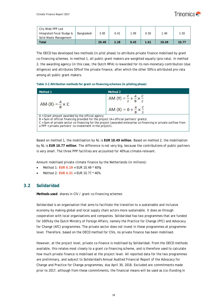

| City Wide PPP Led         |            |       |      |      |      |       |       |
|---------------------------|------------|-------|------|------|------|-------|-------|
| Integrated Fecal Sludge & | Bangladesh | 3.00  | 0.41 | .09  | 0.50 | 1.40  | 1.50  |
| Solid Waste Management    |            |       |      |      |      |       |       |
| Total                     |            | 20.48 | 2.28 | 9.45 | 1.61 | 10.49 | 10.77 |

The OECD has developed two methods (in pilot phase) to attribute private finance mobilised by grant co-financing schemes. In method 1, all public grant makers are weighted equally (pro-rata). In method 2, the awarding agency (in this case, the Dutch MFA) is rewarded for its non-monetary contribution (due diligence) and attributes 50% of the private finance, after which the other 50% is attributed pro-rata among all public grant makers.

| Method 1                                                                                                                                                                                                                                                                 | Method 2                                                |  |  |  |  |
|--------------------------------------------------------------------------------------------------------------------------------------------------------------------------------------------------------------------------------------------------------------------------|---------------------------------------------------------|--|--|--|--|
| AM $\cdot$ (X) $\cdot = \frac{A}{B} \times C$                                                                                                                                                                                                                            | AM (Y) = $\frac{c}{2} + \frac{A}{B} \times \frac{c}{2}$ |  |  |  |  |
|                                                                                                                                                                                                                                                                          | AM (X) = $0 + \frac{A}{B} \times \frac{C}{2}$           |  |  |  |  |
| $A =$ Grant amount awarded by the official agency                                                                                                                                                                                                                        |                                                         |  |  |  |  |
| $B = Sum$ of official financing provided for the project (A+ official partners' grants)<br>$C = Sum$ of private sector co-financing for the project (awarded enterprise co-financing or private outflow from<br>a PPP + private partners' co-investment in the project). |                                                         |  |  |  |  |
|                                                                                                                                                                                                                                                                          |                                                         |  |  |  |  |

Based on method 1, the mobilisation by NL is **EUR 10.49 million**. Based on method 2, the mobilisation by NL is **EUR 10.77 million**. The difference is not very big, because the contributions of public partners is very small. The three PPP facilities are accounted for 40% as climate-relevant.

Amount mobilised private climate finance by the Netherlands (in millions):

- Method 1: **EUR 4.19** = EUR 10.49 \* 40%**;**
- Method 2: **EUR 4.31** = EUR 10.77 \* 40%.

#### <span id="page-17-0"></span>**3.2 Solidaridad**

**Methods used**: shares in CIV / grant co-financing schemes

Solidaridad is an organisation that aims to facilitate the transition to a sustainable and inclusive economy by making global and local supply chain actors more sustainable. It does so through cooperation with local organisations and companies. Solidaridad has two programmes that are funded for 100% by the Dutch Ministry of Foreign Affairs, namely the Practice for Change (PfC) and Advocacy for Change (AfC) programmes. The private sector does not invest in these programmes at programmelevel. Therefore, based on the OECD method for CIVs, no private finance has been mobilised.

However, at the project level, private co-finance is mobilised by Solidaridad. From the OECD methods available, this relates most closely to a grant co-financing scheme, and is therefore used to calculate how much private finance is mobilised at the project level. All reported data for the two programmes are preliminary, and subject to Solidaridad's Annual Audited Financial Report of the Advocacy for Change and Practice for Change programmes, due April 30, 2018. Excluded are commitments made prior to 2017, although from these commitments, the financial means will be used as (co-)funding in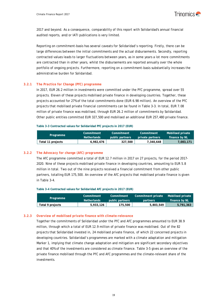

2017 and beyond. As a consequence, comparability of this report with Solidaridad's annual financial audited reports, and/or IATI publications is very limited.

Reporting on commitment-basis has several caveats for Solidaridad's reporting. Firstly, there can be large differences between the initial commitments and the actual disbursements. Secondly, reporting contracted values leads to larger fluctuations between years, as in some years a lot more commitments are contracted than in other years, whilst the disbursements are reported annually over the whole portfolio of ongoing projects. Furthermore, reporting on a commitment-basis substantially increases the administrative burden for Solidaridad.

#### *3.2.1 The Practice for Change (PfC) programme*

In 2017, EUR 26.2 million in investments were committed under the PfC programme, spread over 55 projects. Eleven of these projects mobilised private finance in developing countries. Together, these projects accounted for 27% of the total commitments done (EUR 6.98 million). An overview of the PfC projects that mobilised private financial commitments can be found in [Table 3-3.](#page-18-0) In total, EUR 7.08 million of private finance was mobilised, through EUR 26.2 million of commitments by Solidaridad. Other public entities committed EUR 327,500 and mobilised an additional EUR 257,480 private finance.

#### <span id="page-18-0"></span>**Table 3-3 Contracted values for Solidaridad PfC projects in 2017 (EUR)**

| Programme         | Commitment         | Commitment      | Commitment       | Mobilised private |
|-------------------|--------------------|-----------------|------------------|-------------------|
|                   | <b>Netherlands</b> | public partners | private partners | l finance by NL'  |
| Total 11 projects | 6,982,676          | 327,500         | 7,340,648        | 7,083,171         |

#### *3.2.2 The Advocacy for change (AfC) programme*

The AfC programme committed a total of EUR 12.7 million in 2017 on 27 projects, for the period 2017- 2020. Nine of these projects mobilised private finance in developing countries, amounting to EUR 5.8 million in total. Two out of the nine projects received a financial commitment from other public partners, totalling EUR 175,500. An overview of the AfC projects that mobilised private finance is given in [Table 3-4.](#page-18-1)

#### <span id="page-18-1"></span>**Table 3-4 Contracted values for Solidaridad AfC projects in 2017 (EUR)**

| Programme        | Commitment         | Commitment      | Commitment private | Mobilised private |
|------------------|--------------------|-----------------|--------------------|-------------------|
|                  | <b>Netherlands</b> | public partners | partners           | finance by NL     |
| Total 9 projects | 5,933,126          | 175,500         | 5,803,549          | 5,791,363         |

#### *3.2.3 Overview of mobilised private finance with climate-relevance*

Together the commitments of Solidaridad under the PfC and AfC programmes amounted to EUR 38.9 million, through which a total of EUR 12.9 million of private finance was mobilised. Out of the 82 projects that Solidaridad invested in, 24 mobilised private finance, of which 22 concerned projects in developing countries. Solidaridad's programmes are marked with a climate adaptation and mitigation Marker 1, implying that climate change adaptation and mitigation are significant secondary objectives and that 40% of the investments are considered as climate finance. [Table 3-5](#page-19-0) gives an overview of the private finance mobilised through the PfC and AfC programmes and the climate-relevant share of the investments.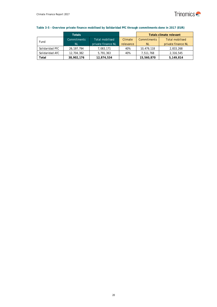

|                 | <b>Totals</b>      |                    |           |                    | Totals climate relevant |
|-----------------|--------------------|--------------------|-----------|--------------------|-------------------------|
|                 | <b>Commitments</b> | Total mobilised    | Climate   | <b>Commitments</b> | <b>Total mobilised</b>  |
| Fund            | <b>NL</b>          | private finance NL | relevance | NL.                | private finance NL      |
| Solidaridad PfC | 26, 197, 794       | 7,083,171          | 40%       | 10,479,118         | 2,833,268               |
| Solidaridad AfC | 12,704,382         | 5,791,363          | 40%       | 7,511,768          | 2,316,545               |
| Total           | 38,902,176         | 12,874,534         |           | 15,560,870         | 5,149,814               |

### <span id="page-19-0"></span>**Table 3-5 – Overview private finance mobilised by Solidaridad PfC through commitments done in 2017 (EUR)**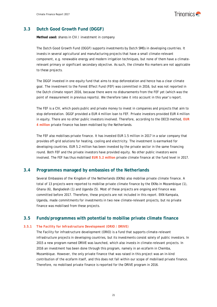

# <span id="page-20-0"></span>**3.3 Dutch Good Growth Fund (DGGF)**

**Method used:** shares in CIV / investment in company

The Dutch Good Growth Fund (DGGF) supports investments by Dutch SMEs in developing countries. It invests in several agricultural and manufacturing projects that have a small climate-relevant component, e.g. renewable energy and modern irrigation techniques, but none of them have a climaterelevant primary or significant secondary objective. As such, the climate Rio markers are not applicable to these projects.

The DGGF invested in one equity fund that aims to stop deforestation and hence has a clear climate goal. The investment to the Forest Effect Fund (FEF) was committed in 2016, but was not reported in the Dutch climate report 2016, because there were no disbursements from the FEF yet (which was the point of measurement in previous reports). We therefore take it into account in this year's report.

The FEF is a CIV, which pools public and private money to invest in companies and projects that aim to stop deforestation. DGGF provided a EUR 4 million loan to FEF. Private investors provided EUR 4 million in equity. There are no other public investors involved. Therefore, according to the OECD method, **EUR 4 million** private finance has been mobilised by the Netherlands.

The FEF also mobilises private finance. It has invested EUR 1.5 million in 2017 in a solar company that provides off-grid solutions for heating, cooling and electricity. The investment is earmarked for developing countries. EUR 5.2 million has been invested by the private sector in the same financing round. Both FEF and the private investors have provided equity. No other public investors were involved. The FEF has thus mobilised **EUR 5.2 million** private climate finance at the fund level in 2017.

### <span id="page-20-1"></span>**3.4 Programmes managed by embassies of the Netherlands**

Several Embassies of the Kingdom of the Netherlands (EKNs) also mobilise private climate finance. A total of 13 projects were reported to mobilise private climate finance by the EKNs in Mozambique (1), Ghana (6), Bangladesh (1) and Uganda (5). Most of these projects are ongoing and finance was committed before 2017. Therefore, these projects are not included in this report. EKN Kampala, Uganda, made commitments for investments in two new climate-relevant projects, but no private finance was mobilised from these projects.

### <span id="page-20-2"></span>**3.5 Funds/programmes with potential to mobilise private climate finance**

#### *3.5.1 The Facility for Infrastructure Development (ORIO / DRIVE)*

The Facility for infrastructure development (ORIO) is a fund that supports climate-relevant infrastructure projects in developing countries, but its investments consist solely of public investors. In 2015 a new program named DRIVE was launched, which also invests in climate-relevant projects. In 2016 an investment has been done through this program, namely in an ecofarm in Chemba, Mozambique. However, the only private finance that was raised in this project was an in-kind contribution of the ecofarm itself, and this does not fall within our scope of mobilised private finance. Therefore, no mobilised private finance is reported for the DRIVE program in 2016.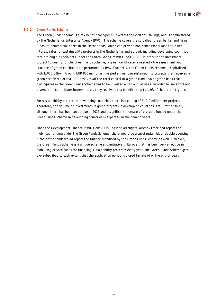

#### *3.5.2 Green Funds Scheme*

The Green Funds Scheme is a tax benefit for 'green' investors and citizens' savings, and is administered by the Netherlands Enterprise Agency (RVO). The scheme covers the so-called 'green banks' and 'green funds' at commercial banks in the Netherlands, which can provide non-concessional loans at lower interest rates for sustainability projects in the Netherlands and abroad, including developing countries that are eligible recipients under the Dutch Good Growth Fund (DGGF). In order for an investment project to qualify for the Green Funds Scheme, a green certificate is needed – the assessment and issuance of green certificates is performed by RVO. Currently, the Green Funds Scheme is capitalised with EUR 5 billion. Around EUR 800 million is invested annually in sustainability projects that received a green certificate of RVO. At least 70% of the total capital of a green fund and/or green bank that participates in the Green Funds Scheme has to be invested on an annual basis. In order for investors and savers to 'accept' lower interest rates, they receive a tax benefit of up to 1.9% of their property tax,

For sustainability projects in developing countries, there is a ceiling of EUR 9 million per project. Therefore, the volume of investments in green projects in developing countries is still rather small, although there has been an uptake in 2016 and a significant increase of projects funded under the Green Funds Scheme in developing countries is expected in the coming years.

Since the Development Finance Institutions (DFIs), as lead arrangers, already track and report the mobilised funding under the Green Funds Scheme, there would be a substantial risk of double counting if the Netherlands would report the finance mobilised by the Green Funds Scheme as well. However, the Green Funds Scheme is a unique scheme and initiative in Europe that has been very effective in mobilising private funds for financing sustainability projects; every year, the Green Funds Scheme gets oversubscribed to such extent that the application period is closed far ahead of the end-of-year.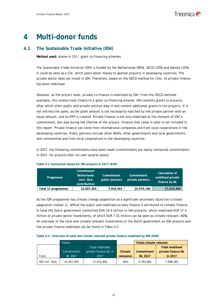

# <span id="page-22-0"></span>**4 Multi-donor funds**

# <span id="page-22-1"></span>**4.1 The Sustainable Trade Initiative (IDH)**

**Method used:** shares in CIV / grant co-financing schemes

The Sustainable Trade Initiative (IDH) is funded by the Netherlands (80%), SECO (10%) and Danida (10%). It could be seen as a CIV, which pools donor money to sponsor projects in developing countries. The private sector does not invest in IDH. Therefore, based on the OECD method for CIVs, no private finance has been mobilised.

However, at the project level, private co-finance is mobilised by IDH. From the OECD methods available, this relates most closely to a grant co-financing scheme: IDH commits grants to projects, after which other public and private entities step in and commit additional grants to the projects. It is not entirely the same, as the grant amount is not necessarily matched by the private partner with an equal amount, and no PPP is created. Private finance is not only mobilised at the moment of IDH's commitment, but also during the lifetime of the project. Finance that came in later is not included in this report. Private finance can come from international companies and from local corporations in the developing countries. Public partners include other NGOs, other governments and local governments and communities and from local corporations in the developing countries.

In 2017, the following commitments have been made (commitments are newly contacted commitments in 2017, for projects that run over several years):

| Programme           | Commitment<br><b>Netherlands</b><br>(incl. ISLA<br>contribution) | Commitment<br>public partners | Commitment<br>private partners | Calculation of<br>mobilised private<br>finance by NL |
|---------------------|------------------------------------------------------------------|-------------------------------|--------------------------------|------------------------------------------------------|
| Total 12 programmes | 14,407,655                                                       | 7,824,462                     | 24,970,180                     | 17,515,904                                           |

#### **Table 4-1 Contracted values for IDH projects in 2017 (EUR)**

As the IDH programme has climate change adaptation as a significant secondary objective (climate adaptation marker 1), 40% of the public and mobilised private finance is attributed to climate finance. In total the Dutch government committed EUR 14.4 million to IDH projects, which mobilised EUR 17.5 million of private sector investments, of which EUR 7.01 million can be seen as climate-relevant (40%). An overview of the total and climate-relevant investments of the Dutch government on IDH projects and the private finance mobilised can be found in Table 4-2.

|  |  |  | Table 4-2 - Overview of total and climate relevant private finance mobilised by IDH (EUR) |  |
|--|--|--|-------------------------------------------------------------------------------------------|--|
|  |  |  |                                                                                           |  |

|                       | Totals         |                       |           | Totals climate relevant |                        |  |
|-----------------------|----------------|-----------------------|-----------|-------------------------|------------------------|--|
|                       |                | Total mobilised '     |           |                         | <b>Total mobilised</b> |  |
|                       | Commitment     | private finance NL in | Climate   | Commitment              | private finance NL     |  |
| Fund                  | <b>NL 2017</b> | 2017                  | relevance | <b>NL 2017</b>          | in 2017                |  |
| <b>IDH incl. ISLA</b> | 14,407,655     | 17,515,904            | 40%       | 5,763,062               | 7,006,361              |  |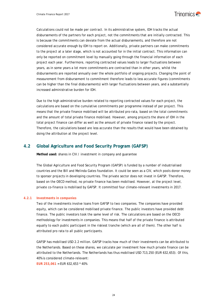

Calculations could not be made *per contract*. In its administrative system, IDH tracks the actual disbursements of the partners for each project, not the commitments that are initially contracted. This is because the commitments can deviate from the actual disbursements, and therefore are not considered accurate enough by IDH to report on. Additionally, private partners can make commitments to the project at a later stage, which is not accounted for in the initial contract. This information can only be reported on commitment level by manually going through the financial information of each project each year. Furthermore, reporting contracted values leads to larger fluctuations between years, as in some years a lot more commitments are contracted than in other years, whilst the disbursements are reported annually over the whole portfolio of ongoing projects. Changing the point of measurement from disbursement to commitment therefore leads to less accurate figures (commitments can be higher than the final disbursements) with larger fluctuations between years, and a substantially increased administrative burden for IDH.

Due to the high administrative burden related to reporting contracted values for each project, the calculations are based on the cumulative commitments per programme instead of per project. This means that the private finance mobilised will be attributed pro-rata, based on the total commitments and the amount of total private finance mobilised. However, among projects the share of IDH in the total project finance can differ as well as the amount of private finance raised by the project. Therefore, the calculations based are less accurate than the results that would have been obtained by doing the attribution at the project level.

### <span id="page-23-0"></span>**4.2 Global Agriculture and Food Security Program (GAFSP)**

**Method used:** shares in CIV / investment in company and guarantee

The Global Agriculture and Food Security Program (GAFSP) is funded by a number of industrialised countries and the Bill and Melinda Gates foundation. It could be seen as a CIV, which pools donor money to sponsor projects in developing countries. The private sector does not invest in GAFSP. Therefore, based on the OECD method, no private finance has been mobilised. However, at the project level, private co-finance is mobilised by GAFSP. It committed four climate-relevant investments in 2017.

#### *4.2.1 Investments in companies*

Two of the investments involve loans from GAFSP to two companies. The companies have provided equity, which can be considered mobilised private finance. The public investors have provided debt finance. The public investors took the same level of risk. The calculations are based on the OECD methodology for investments in companies. This means that half of the private finance is attributed equally to each public participant in the riskiest tranche (which are all of them). The other half is attributed pro rata to all public participants.

GAFSP has mobilised USD 2.2 million. GAFSP tracks how much of their investments can be attributed to the Netherlands. Based on these shares, we calculate per investment how much private finance can be attributed to the Netherlands. The Netherlands has thus mobilised USD 713,250 (EUR 632,653). Of this, 40% is considered climate-relevant:

**EUR 253,061** = EUR 632,653 \* 40%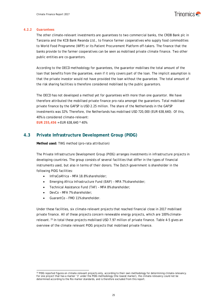

#### *4.2.2 Guarantees*

The other climate-relevant investments are guarantees to two commercial banks, the CRDB Bank plc in Tanzania and the KCB Bank Rwanda Ltd., to finance farmer cooperatives who supply food commodities to World Food Programme (WFP) or its Patient Procurement Platform off-takers. The finance that the banks provide to the farmer cooperatives can be seen as mobilised private climate finance. Two other public entities are co-guarantors.

According to the OECD methodology for guarantees, the guarantor mobilises the total amount of the loan that benefits from the guarantee, even if it only covers part of the loan. The implicit assumption is that the private investor would not have provided the loan without the guarantee. The total amount of the risk sharing facilities is therefore considered mobilised by the public guarantors.

The OECD has not developed a method yet for guarantees with more than one guarantor. We have therefore attributed the mobilised private finance pro-rata amongst the guarantors. Total mobilised private finance by the GAFSP is USD 2.25 million. The share of the Netherlands in the GAFSP investments was 32%. Therefore, the Netherlands has mobilised USD 720,000 (EUR 638,640). Of this, 40% is considered climate-relevant:

**EUR 255,456** = EUR 638,640 \* 40%

### <span id="page-24-0"></span>**4.3 Private Infrastructure Development Group (PIDG)**

**Method used:** TWG method (pro-rata attribution)

The Private Infrastructure Development Group (PIDG) arranges investments in infrastructure projects in developing countries. The group consists of several facilities that differ in the types of financial instruments used, but also in terms of their donors. The Dutch government is shareholder in the following PIDG facilities:

- InfraCoAfrica MFA 18.8% shareholder;
- Emerging Africa Infrastructure Fund (EAIF) MFA 7% shareholder;
- Technical Assistance Fund (TAF) MFA 8% shareholder;
- DevCo MFA 7% shareholder;
- GuarantCo FMO 11% shareholder.

Under these facilities, six climate-relevant projects that reached financial close in 2017 mobilised private finance. All of these projects concern renewable energy projects, which are 100% climate-relevant..<sup>15</sup> In total these projects mobilised USD 7.97 million of private finance. [Table 4-5](#page-25-0) gives an overview of the climate relevant PIDG projects that mobilised private finance.

<sup>&</sup>lt;sup>15</sup> PIDG reported figures on climate-relevant projects only, according to their own methodology for determining climate-relevancy. For one project that has a marker '3' under the PIDG methodology (the lowest marker), the climate-relevancy could not be determined according to the Rio marker standards, and is therefore excluded from this report.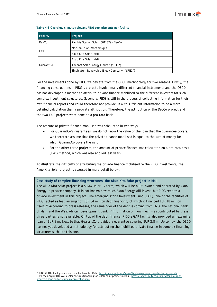

#### <span id="page-25-0"></span>**Table 4-3 Overview climate-relevant PIDG commitments per facility**

| Facility  | Project                                     |  |  |  |
|-----------|---------------------------------------------|--|--|--|
| DevCo     | Zambia Scaling Solar (601182) - NeoEn       |  |  |  |
|           | Mocuba Solar, Mozambique                    |  |  |  |
| EAIF      | Akuo Kita Solar, Mali                       |  |  |  |
|           | Akuo Kita Solar, Mali                       |  |  |  |
| GuarantCo | Technaf Solar Energy Limited ("TSEL")       |  |  |  |
|           | Sindicatum Renewable Enegy Company ("SREC") |  |  |  |

For the investments done by PIDG we deviate from the OECD methodology for two reasons. Firstly, the financing constructions in PIDG's projects involve many different financial instruments and the OECD has not developed a method to attribute private finance mobilised to the different investors for such complex investment structures. Secondly, PIDG is still in the process of collecting information for their own financial reports and could therefore not provide us with sufficient information to do a more detailed calculation than a pro-rata attribution. Therefore, the attribution of the DevCo project and the two EAIF projects were done on a pro-rata basis.

The amount of private finance mobilised was calculated in two ways:

- For GuarantCo's guarantees, we do not know the value of the loan that the guarantee covers. We therefore assume that the private finance mobilised is equal to the sum of money for which GuarantCo covers the risk:
- For the other three projects, the amount of private finance was calculated on a pro-rata basis (TWG method, which was also applied last year).

To illustrate the difficulty of attributing the private finance mobilised to the PIDG investments, the Akuo Kita Solar project is assessed in more detail below.

**Case study of complex financing structures: the Akuo Kita Solar project in Mali** The Akuo Kita Solar project is a 50MW solar PV farm, which will be built, owned and operated by Akuo Energy, a private company. It is not known how much Akuo Energy will invest, but PIDG reports a private investment in this project. The emerging Africa Investment Fund (EAIF), one of the facilities of PIDG, acted as lead arranger of EUR 54 million debt financing, of which it financed EUR 18 million itself.<sup>16</sup> According to press releases, the remainder of the debt is coming from FMO, the national bank of Mali, and the West African development bank.<sup>17</sup> Information on how much was contributed by these three parties is not available. On top of the debt finance, PIDG's GAP facility also provided a mezzanine loan of EUR 8 m. Next to that GuarantCo provided a guarantee covering EUR 2.8 m. Up to now the OECD has not yet developed a methodology for attributing the mobilised private finance in complex financing structures such like this one.

 <sup>16</sup> PIDG (2018) First private sector solar farm for Mali - <http://www.pidg.org/news/first-private-sector-solar-farm-for-mali> <sup>17</sup> PV-tech.org (2018) Akuo Solar secures financing for 50MW solar project in Mali - [https://www.pv-tech.org/news/akuo-solar](https://www.pv-tech.org/news/akuo-solar-secures-financing-for-50mw-pv-project-in-mali)[secures-financing-for-50mw-pv-project-in-mali](https://www.pv-tech.org/news/akuo-solar-secures-financing-for-50mw-pv-project-in-mali)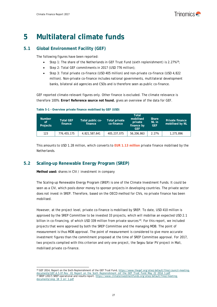# <span id="page-26-0"></span>**5 Multilateral climate funds**

# <span id="page-26-1"></span>**5.1 Global Environment Facility (GEF)**

The following figures have been reported:

- Step 1: The share of the Netherlands in GEF Trust Fund (sixth replenishment) is 2.27%<sup>18</sup>;
- Step 2: Total GEF commitments in 2017 (USD 776 million);
- Step 3: Total private co-finance (USD 405 million) and non-private co-finance (USD 4,822 million). Non-private co-finance includes national governments, multilateral development banks, bilateral aid agencies and CSOs and is therefore seen as public co-finance.

GEF reported climate-relevant figures only. Other finance is excluded. The climate relevance is therefore 100%. **Error! Reference source not found.** gives an overview of the data for GEF.

| <b>Number</b><br>of.<br><b>Projects</b> | <b>Total GEF</b><br>finance | Total public co-<br>finance | Total private<br>co-finance | Total<br>mobilised<br>private<br>finance by<br><b>GFF</b> | <b>Share</b><br>NL in<br><b>GEF</b> | Private finance<br>mobilised by NL |
|-----------------------------------------|-----------------------------|-----------------------------|-----------------------------|-----------------------------------------------------------|-------------------------------------|------------------------------------|
| 123                                     | 776,455,175                 | 4,821,587,641               | 405,237,075                 | 56,206,863                                                | 2.27%                               | 1,275,896                          |

#### **Table 5-1 – Overview private finance mobilised by GEF (USD)**

This amounts to USD 1.28 million, which converts to **EUR 1.13 million** private finance mobilised by the Netherlands.

### <span id="page-26-2"></span>**5.2 Scaling-up Renewable Energy Program (SREP)**

**Method used:** shares in CIV / investment in company

The Scaling-up Renewable Energy Program (SREP) is one of the Climate Investment Funds. It could be seen as a CIV, which pools donor money to sponsor projects in developing countries. The private sector does not invest in SREP. Therefore, based on the OECD method for CIVs, no private finance has been mobilised.

However, at the project level, private co-finance is mobilised by SREP. To date, USD 410 million is approved by the SREP Committee to be invested 33 projects, which will mobilise an expected USD 2.1 billion in co-financing, of which USD 339 million from private sources.<sup>19</sup>. For this report, we included projects that were approved by both the SREP Committee and the managing MDB. The point of measurement is thus MDB approval. The point of measurement is considered to give more accurate investment figures than the commitment proposed at the time of SREP Committee approval. For 2017, two projects complied with this criterion and only one project, the Segou Solar PV project in Mali, mobilised private co-finance.

<sup>&</sup>lt;sup>18</sup> GEF 2014, Report on the Sixth Replenishment of the GEF Trust Fund[, https://www.thegef.org/sites/default/files/council-meeting](https://www.thegef.org/sites/default/files/council-meeting-documents/GEF.A.5.07.Rev_.01_Report_on_the_Sixth_Replenishment_zof_the_GEF_Trust_Fund_May_22_2014_1.pdf)[documents/GEF.A.5.07.Rev\\_.01\\_Report\\_on\\_the\\_Sixth\\_Replenishment\\_zof\\_the\\_GEF\\_Trust\\_Fund\\_May\\_22\\_2014\\_1.pdf](https://www.thegef.org/sites/default/files/council-meeting-documents/GEF.A.5.07.Rev_.01_Report_on_the_Sixth_Replenishment_zof_the_GEF_Trust_Fund_May_22_2014_1.pdf) <sup>19</sup> SREP (2017) SREP operational and results report[. https://www.climateinvestmentfunds.org/sites/default/files/meeting](https://www.climateinvestmentfunds.org/sites/default/files/meeting-documents/srep_18_3_orr_1.pdf)[documents/srep\\_18\\_3\\_orr\\_1.pdf](https://www.climateinvestmentfunds.org/sites/default/files/meeting-documents/srep_18_3_orr_1.pdf)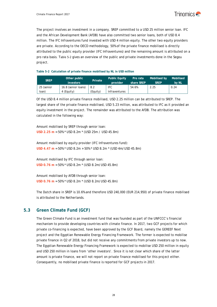

The project involves an investment in a company. SREP committed to a USD 25 million senior loan. IFC and the African Development Bank (AfDB) have also committed two senior loans, both of USD 8.4 million. The IFC Infraventures fund invested with USD 4 million equity. The other two equity providers are private. According to the OECD methodology, 50% of the private finance mobilised is directly attributed to the public equity provider (IFC Infraventures) and the remaining amount is attributed on a pro rata basis. Table 5-2 gives an overview of the public and private investments done in the Segou project.

#### **Table 5-2 Calculation of private finance mobilised by NL in USD million**

| <b>SREP</b> | Other public<br><i>investors</i> | Private  | <b>Public Equity</b><br>provider | Pro rata<br>share SREP | Mobilised by<br>SREP | <b>Mobilised</b><br>.bv NL |
|-------------|----------------------------------|----------|----------------------------------|------------------------|----------------------|----------------------------|
| 25 (senior  | 16.8 (senior loans)              | 8.2      | <b>IFC</b>                       | 54.6%                  | 2.25                 | 0.24                       |
| loan)       | 4 (Equity)                       | (Equity) | <b>Infraventures</b>             |                        |                      |                            |

Of the USD 8.4 million private finance mobilised, USD 2.25 million can be attributed to SREP. The largest share of the private finance mobilised, USD 5.23 million, was attributed to IFC as it provided an equity investment in the project. The remainder was attributed to the AfDB. The attribution was calculated in the following way:

Amount mobilised by SREP through senior loan: **USD 2.25 m** = 50% \* USD 8.2m \* (USD 25m / USD 45.8m)

Amount mobilised by equity provider (IFC Infraventures fund): **USD 4.47 m** = 50% \* USD 8.2m + 50% \* USD 8.2m \* (USD 4m/USD 45.8m)

Amount mobilised by IFC through senior loan: **USD 0.76 m** = 50% \* USD 8.2m \* (USD 8.2m/USD 45.8m)

Amount mobilised by AfDB through senior loan: **USD 0.76 m** = 50% \* USD 8.2m \* (USD 8.2m/USD 45.8m)

The Dutch share in SREP is 10.6% and therefore USD 240,000 (EUR 214,950) of private finance mobilised is attributed to the Netherlands.

# <span id="page-27-0"></span>**5.3 Green Climate Fund (GCF)**

The Green Climate Fund is an investment fund that was founded as part of the UNFCCC's financial mechanism to provide developing countries with climate finance. In 2017, two GCF projects for which private co-financing is expected, have been approved by the GCF Board, namely the GEREEF Next project and the Egyptian Renewable Energy Financing Framework. The former is expected to mobilise private finance in Q2 of 2018, but did not receive any commitments from private investors up to now. The Egyptian Renewable Energy Financing Framework is expected to mobilise USD 250 million in equity and USD 250 million in loans from 'other investors'. Since it is not clear which share of the latter amount is private finance, we will not report on private finance mobilised for this project either. Consequently, no mobilised private finance is reported for GCF projects in 2017.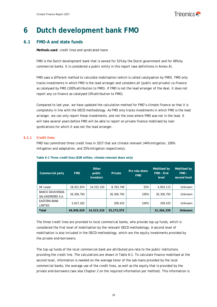

# <span id="page-28-0"></span>**6 Dutch development bank FMO**

# <span id="page-28-1"></span>**6.1 FMO-A and state funds**

**Methods used**: credit lines and syndicated loans

FMO is the Dutch development bank that is owned for 51% by the Dutch government and for 49% by commercial banks. It is considered a public entity in this report (see definitions in Annex A).

FMO uses a different method to calculate mobilisation (which is called catalysation by FMO). FMO only tracks investments in which FMO is the lead arranger and considers all (public and private) co-finance as catalysed by FMO (100% attribution to FMO). If FMO is not the lead arranger of the deal, it does not report any co-finance as catalysed (0% attribution to FMO).

Compared to last year, we have updated the calculation method for FMO's climate finance so that it is completely in line with the OECD methodology. As FMO only tracks investments in which FMO is the lead arranger, we can only report these investments, and not the ones where FMO was not in the lead. It will take several years before FMO will be able to report on private finance mobilised by loan syndications for which it was not the lead arranger.

#### *6.1.1 Credit lines*

FMO has committed three credit lines in 2017 that are climate relevant (44% mitigation, 100% mitigation and adaptation, and 25% mitigation respectively).

| <b>Commercial party</b>                     | <b>FMO</b> | Other<br>public<br><i>investors</i> | Private      | Pro rata share<br><b>FMO</b> | Mobilised by<br>FMO - first<br>level | Mobilised by<br>$FMO -$<br>second level |
|---------------------------------------------|------------|-------------------------------------|--------------|------------------------------|--------------------------------------|-----------------------------------------|
| AK Lease                                    | 18,021,874 | 14,515,310                          | 8,763,749    | 55%                          | 4,854,113                            | <b>Unknown</b>                          |
| <b>BANCO DAVIVIENDA</b><br>SALVADOREÑO S.A. | 26,300,793 |                                     | 26,300,793   | 100%                         | 26,300,793                           | Unknown                                 |
| <b>EASTERN BANK</b><br>LIMITED              | 5,627,262  |                                     | 209,433      | 100%                         | 209,433                              | Unknown                                 |
| <b>Total</b>                                | 49,949,929 | 14,515,310                          | 35, 273, 975 |                              | 31, 364, 339                         | Unknown                                 |

#### <span id="page-28-2"></span>**Table 6-1 Three credit lines (EUR million, climate-relevant share only)**

The three credit lines are provided to local commercial banks, who provide top-up funds, which is considered the first level of mobilisation by the relevant OECD methodology. A second level of mobilisation is also included in the OECD methodology, which are the equity investments provided by the private end-borrowers.

The top-up funds of the local commercial bank are attributed pro-rata to the public institutions providing the credit line. The calculations are shown in [Table 6-1.](#page-28-2) To calculate finance mobilised at the second level, information is needed on the average tenor of the sub-loans provided by the local commercial banks, the average use of the credit lines, as well as the equity that is provided by the private end-borrowers (see also Chapter 2 on the required information per method). This information is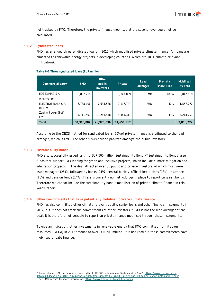not tracked by FMO. Therefore, the private finance mobilised at the second level could not be calculated.

#### *6.1.2 Syndicated loans*

FMO has arranged three syndicated loans in 2017 which mobilised private climate finance. All loans are allocated to renewable energy projects in developing countries, which are 100% climate-relevant (mitigation).

**Table 6-2 Three syndicated loans (EUR million)**

| <b>Commercial party</b>                            | <b>FMO</b> | Other<br>public<br>investors | Private    | Lead<br>arranger | Pro rata<br>share FMO | <b>Mobilised</b><br>by FMO |
|----------------------------------------------------|------------|------------------------------|------------|------------------|-----------------------|----------------------------|
| EDS EXIMAG S.A.                                    | 16,807,210 |                              | 5,047,859  | <b>FMO</b>       | 100%                  | 5,047,859                  |
| <b>VIENTOS DE</b><br>ELECTROTECNIA S.A.<br>DE C.V. | 6,788,106  | 7,633,588                    | 2,117,747  | <b>FMO</b>       | 47%                   | 1,557,272                  |
| Zephyr Power (Pvt)<br>Ltd.                         | 14,711,491 | 19,286,448                   | 4,485,311  | <b>FMO</b>       | 43%                   | 3,213,091                  |
| <b>Total</b>                                       | 38,306,807 | 26,920,036                   | 11,650,917 |                  |                       | 9,818,222                  |

According to the OECD method for syndicated loans, 50% of private finance is attributed to the lead arranger, which is FMO. The other 50% is divided pro-rata amongst the public investors.

#### *6.1.3 Sustainability Bonds*

FMO also successfully issued its third EUR 500 million Sustainability Bond.<sup>20</sup> Sustainability Bonds raise funds that support FMO lending for green and inclusive projects, which include climate mitigation and adaptation projects.<sup>21</sup> The deal attracted over 50 public and private investors, of which most were asset managers (25%), followed by banks (24%), central banks / official institutions (18%), insurance (16%) and pension funds (14%). There is currently no methodology in place to report on green bonds. Therefore we cannot include the sustainability bond's mobilisation of private climate finance in this year's report.

#### *6.1.4 Other commitments that have potentially mobilised private climate finance*

FMO has also committed other climate-relevant equity, senior loans and other financial instruments in 2017, but it does not track the commitments of other investors if FMO is not the lead arranger of the deal. It is therefore not possible to report on private finance mobilised through these instruments.

To give an indication, other investments in renewable energy that FMO committed from its own resources (FMO-A) in 2017 amount to over EUR 200 million. It is not known if these commitments have mobilised private finance.

<sup>&</sup>lt;sup>20</sup> Press release, 'FMO successfully issues its third EUR 500 million 6-year Sustainability Bond'[, https://www.fmo.nl/news](https://www.fmo.nl/news-detail/466dcc6e-e28e-448e-85d7-b0e6e1a65dbb/fmo-successfully-issued-its-third-eur-500-million-6-year-sustainability-bond)[detail/466dcc6e-e28e-448e-85d7-b0e6e1a65dbb/fmo-successfully-issued-its-third-eur-500-million-6-year-sustainability-bond](https://www.fmo.nl/news-detail/466dcc6e-e28e-448e-85d7-b0e6e1a65dbb/fmo-successfully-issued-its-third-eur-500-million-6-year-sustainability-bond) <sup>21</sup> See FMO website for more information:<https://www.fmo.nl/sustainability-bonds>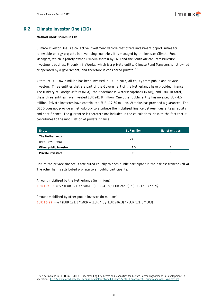

### <span id="page-30-0"></span>**6.2 Climate Investor One (CIO)**

**Method used**: shares in CIV

Climate Investor One is a collective investment vehicle that offers investment opportunities for renewable energy projects in developing countries. It is managed by the investor Climate Fund Managers, which is jointly owned (50-50% shares) by FMO and the South African infrastructure investment business Phoenix InfraWorks, which is a private entity. Climate Fund Managers is not owned or operated by a government, and therefore is considered private.<sup>22</sup>

A total of EUR 367.6 million has been invested in CIO in 2017, all equity from public and private investors. Three entities that are part of the Government of the Netherlands have provided finance: The Ministry of Foreign Affairs (MFA), the Nederlandse Waterschapsbank (NWB), and FMO. In total, these three entities have invested EUR 241.8 million. One other public entity has invested EUR 4.5 million. Private investors have contributed EUR 117.60 million. Atradius has provided a guarantee. The OECD does not provide a methodology to attribute the mobilised finance between guarantees, equity and debt finance. The guarantee is therefore not included in the calculations, despite the fact that it contributes to the mobilisation of private finance.

| Entity                   | <b>EUR million</b> | No. of entities |  |
|--------------------------|--------------------|-----------------|--|
| The Netherlands          |                    |                 |  |
| (MFA, NWB, FMO)          | 241.8              |                 |  |
| Other public investor    | 4.5                |                 |  |
| <b>Private investors</b> | 121.3              | ц               |  |

Half of the private finance is attributed equally to each public participant in the riskiest tranche (all 4). The other half is attributed pro rata to all public participants.

Amount mobilised by the Netherlands (in millions): **EUR 105.03** = ¾ \* (EUR 121.3 \* 50%) + (EUR 241.8 / EUR 246.3) \* (EUR 121.3 \* 50%)

Amount mobilised by other public investor (in millions): **EUR 16.27** = ¼ \* (EUR 121.3 \* 50%) + (EUR 4.5 / EUR 246.3) \* (EUR 121.3 \* 50%)

 <sup>22</sup> See definitions in OECD DAC (2016) 'Understanding Key Terms and Modalities for Private Sector Engagement in Development Cooperation',<http://www.oecd.org/dac/peer-reviews/Inventory-1-Private-Sector-Engagement-Terminology-and-Typology.pdf>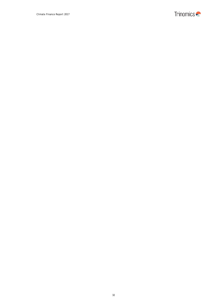Climate Finance Report 2017

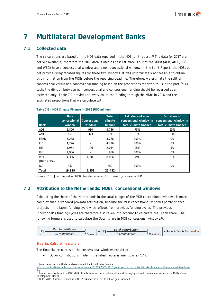

# <span id="page-32-0"></span>**7 Multilateral Development Banks**

# <span id="page-32-1"></span>**7.1 Collected data**

The calculations are based on the MDB data reported in the MDB joint report.<sup>23</sup> The data for 2017 are not yet available, therefore the 2016 data is used as best estimate. Four of the MDBs (ADB, AfDB, IDB and WBG) have a concessional window and a non-concessional window. In the Joint Report, the MDBs do not provide disaggregated figures for these two windows. It was unfortunately not feasible to obtain this information from the MDBs before the reporting deadline. Therefore, we estimate the split of concessional versus non-concessional funding based on the proportions reported to us in the past.<sup>24</sup> As such, the division between non-concessional and concessional funding should be regarded as an estimate only. [Table 7-1](#page-32-3) provides an overview of the funding through the MDBs in 2016 and the estimated proportions that we calculate with.

| <b>Bank</b>                | Non-<br>concessional<br>window | Concessional<br>window | <b>Total</b><br>climate<br>finance | Est. share of non-<br>concessional window in<br>total climate finance | Est. share of<br>concessional window in<br>total climate finance |
|----------------------------|--------------------------------|------------------------|------------------------------------|-----------------------------------------------------------------------|------------------------------------------------------------------|
| ADB                        | 2.806                          | 930                    | 3.736                              | 75%                                                                   | 25%                                                              |
| AfDB                       | 651                            | 323                    | 974                                | 67%                                                                   | 33%                                                              |
| <b>EBRD</b>                | 3,288                          |                        | 3,288                              | 100%                                                                  | 0%                                                               |
| EIB                        | 4,226                          |                        | 4,226                              | 100%                                                                  | 0%                                                               |
| <b>IDB</b>                 | 1,954                          | 100                    | 2,054                              | 95%                                                                   | 5%                                                               |
| <b>IFC</b>                 | 1,986                          |                        | 1.986                              | 100%                                                                  | 0%                                                               |
| <b>WBG</b><br>(IBRD / IDA) | 4,366                          | 4,500                  | 8,866                              | 49%                                                                   | 51%                                                              |
| <b>ICC</b>                 | 352                            |                        | 352                                | 100%                                                                  | 0%                                                               |
| Total                      | 19,629                         | 5,853                  | 25,482                             |                                                                       |                                                                  |

#### <span id="page-32-3"></span>**Table 7-1 - MDB Climate Finance in 2016 (USD million)**

Source: 2016 Joint Report on MDB Climate Finance. NB: These figures are in USD.

# <span id="page-32-2"></span>**7.2 Attribution to the Netherlands: MDBs' concessional windows**

Calculating the share of the Netherlands in the total budget of the MDB concessional windows is more complex than a standard pro-rata attribution, because the MDB concessional windows partly finance projects in the latest funding cycle with reflows from previous funding cycles. The previous ("historical") funding cycles are therefore also taken into account to calculate the Dutch share. The following formula is used to calculate the Dutch share in MDB concessional windows.<sup>25</sup>:



#### **Step 1a. Calculating x and y**

The financial resources of the concessional windows consist of:

• Donor contributions made in the latest replenishment cycle  $("x")$ ;

<sup>&</sup>lt;sup>23</sup> Joint report on multilateral development banks' climate finance.

[https://publications.iadb.org/bitstream/handle/11319/8505/2016\\_joint\\_report\\_on\\_mdbs\\_climate\\_finance.pdf?sequence=1&isAllowe](https://publications.iadb.org/bitstream/handle/11319/8505/2016_joint_report_on_mdbs_climate_finance.pdf?sequence=1&isAllowed=y)

[d=y](https://publications.iadb.org/bitstream/handle/11319/8505/2016_joint_report_on_mdbs_climate_finance.pdf?sequence=1&isAllowed=y) <sup>24</sup> Proportions are based on MDB 2014 climate finance, information obtained through personal communication with the Multilateral Development Banks.

<sup>25</sup> OECD 2015, Climate Finance in 2013-2014 and the USD 100 billion goal, Annex F.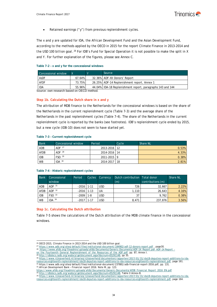

Retained earnings  $($ "y") from previous replenishment cycles.

The x and y are updated for IDA, the African Development Fund and the Asian Development Fund, according to the methods applied by the OECD in 2015 for the report *Climate Finance in 2013-2014 and*  the USD 100 billion goal.<sup>26</sup> For IDB's Fund for Special Operation it is not possible to make the split in X and Y. For further explanation of the figures, please see Annex C.

| Concessional window |        | Source                                                       |
|---------------------|--------|--------------------------------------------------------------|
| AsDF                | 67.64% | 32.36%   ADF-XII Donors' Report                              |
| AfDF                | 73.75% | 26.25%   ADF-14 Replenishment report, Annex 1                |
| IDA                 | 55.96% | 44.04%   IDA-18 Replenishment report, paragraphs 143 and 144 |

#### **Table 7-2 – x and y for the concessional windows**

Source: own research based on OECD method.

#### **Step 1b. Calculating the Dutch share in x and y**

The attribution of MDB finance to the Netherlands for the concessional windows is based on the share of the Netherlands in the current replenishment cycle (Table 7-3) and the average share of the Netherlands in the past replenishment cycles (Table 7-4). The share of the Netherlands in the current replenishment cycle is reported by the banks (see footnotes). IDB's replenishment cycle ended by 2015, but a new cycle (IDB-10) does not seem to have started yet.

#### **Table 7-3 – Current replenishment cycle**

| <b>Bank</b> | Concessional window | Period         | Cycle | <b>Share NL</b> |
|-------------|---------------------|----------------|-------|-----------------|
| ADB         | ADF $^{27}$         | 2013-2016   12 |       | 0.53%           |
| AfDB        | ADF $^{28}$         | 2014-2016   14 |       | 4.33%           |
| <b>IDB</b>  | FSO <sup>29</sup>   | 2011-2015 9    |       | 0.38%           |
| <b>WB</b>   | IDA <sup>30</sup>   | 2014-2017      | 18    | 2.81%           |

#### **Table 7-4 – Historic replenishment cycles**

| <b>Bank</b> | Concessional      | Period         | Cycles   | Currency   | Dutch contribution Total donor |                   | Share NL |
|-------------|-------------------|----------------|----------|------------|--------------------------------|-------------------|----------|
|             | window            |                |          |            | (m)                            | contributions (m) |          |
| ADB         | ADF <sup>31</sup> | $-2016$   1-11 |          | <b>USD</b> | 726                            | 32,667            | 2.22%    |
| AfDB        | ADF $32$          | $-2016$ 1-13   |          | UA         | 1,110                          | 26,643            | 4.16%    |
| <b>IDB</b>  | FSO <sup>33</sup> | $-2009$        | $1 - 8$  | <b>USD</b> | 37                             | 9.762             | 0.38%    |
| <b>WB</b>   | IDA <sup>34</sup> | -2017          | $1 - 17$ | <b>USD</b> | 8,471                          | 237,876           | 3.56%    |

#### **Step 1c. Calculating the Dutch attribution**

[Table 7-5](#page-34-2) shows the calculations of the Dutch attribution of the MDB climate finance in the concessional windows.

 $\frac{31 \text{ https://www.adb.org/sites/default/files/ institutional-document/237881/adb-final-report-2016.pdf}{32. Afterlcam Development Bank - Financial report 2016. Note M, pp. 123.}$ 

[https://www.afdb.org/fileadmin/uploads/afdb/Documents/Generic-Documents/AfDB\\_Financial\\_Report\\_2016\\_EN.pdf](https://www.afdb.org/fileadmin/uploads/afdb/Documents/Generic-Documents/AfDB_Financial_Report_2016_EN.pdf) 33 [http://idbdocs.iadb.org/wsdocs/getdocument.aspx?docnum=35291148,](http://idbdocs.iadb.org/wsdocs/getdocument.aspx?docnum=35291148) Table II Annex-B.

 <sup>26</sup> OECD 2015, Climate Finance in 2013-2014 and the USD 100 billion goal.

<sup>27</sup> <https://www.adb.org/sites/default/files/institutional-document/184982/adf-12-donors-report.pdf> , page30. <sup>28</sup> [https://www.afdb.org/fileadmin/uploads/afdb/Documents/Generic-Documents/ADF-14\\_Report.pdf\\_ADF-14](https://www.afdb.org/fileadmin/uploads/afdb/Documents/Generic-Documents/ADF-14_Report.pdf_ADF-14%20Report_-%20on_the_Fourteenth_General_Replenishment_of_the_Resources_of_the_ADF.pdf) Report\_-

[on\\_the\\_Fourteenth\\_General\\_Replenishment\\_of\\_the\\_Resources\\_of\\_the\\_ADF.pdf,](https://www.afdb.org/fileadmin/uploads/afdb/Documents/Generic-Documents/ADF-14_Report.pdf_ADF-14%20Report_-%20on_the_Fourteenth_General_Replenishment_of_the_Resources_of_the_ADF.pdf) pp. 87, Annex I.

<sup>&</sup>lt;sup>29</sup> [http://idbdocs.iadb.org/wsdocs/getdocument.aspx?docnum=35291148,](http://idbdocs.iadb.org/wsdocs/getdocument.aspx?docnum=35291148) pp 35.

<sup>30</sup> [https://www.rijksoverheid.nl/binaries/rijksoverheid/documenten/rapporten/2017/01/31/ida18-deputies-report-additions-to-ida](https://www.rijksoverheid.nl/binaries/rijksoverheid/documenten/rapporten/2017/01/31/ida18-deputies-report-additions-to-ida-resources-eighteenth-replenishment/ida18-deputies-report-additions-to-ida-resources-eighteenth-replenishment.pdf)[resources-eighteenth-replenishment/ida18-deputies-report-additions-to-ida-resources-eighteenth-replenishment.pdf,](https://www.rijksoverheid.nl/binaries/rijksoverheid/documenten/rapporten/2017/01/31/ida18-deputies-report-additions-to-ida-resources-eighteenth-replenishment/ida18-deputies-report-additions-to-ida-resources-eighteenth-replenishment.pdf) page 161.

<sup>34</sup> [https://www.rijksoverheid.nl/binaries/rijksoverheid/documenten/rapporten/2017/01/31/ida18-deputies-report-additions-to-ida](https://www.rijksoverheid.nl/binaries/rijksoverheid/documenten/rapporten/2017/01/31/ida18-deputies-report-additions-to-ida-resources-eighteenth-replenishment/ida18-deputies-report-additions-to-ida-resources-eighteenth-replenishment.pdf)[resources-eighteenth-replenishment/ida18-deputies-report-additions-to-ida-resources-eighteenth-replenishment.pdf,](https://www.rijksoverheid.nl/binaries/rijksoverheid/documenten/rapporten/2017/01/31/ida18-deputies-report-additions-to-ida-resources-eighteenth-replenishment/ida18-deputies-report-additions-to-ida-resources-eighteenth-replenishment.pdf) page 164.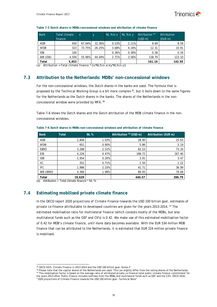

#### <span id="page-34-2"></span>**Table 7-5 Dutch shares in MDBs concessional windows and attribution of climate finance**

| <b>Bank</b> | Total climate<br>finance | $\times$ |        | NL % in x | $NL$ % in y | Attribution <sup>(a)</sup><br>(USD <sub>m</sub> ) | Attribution<br>(EUR m) |
|-------------|--------------------------|----------|--------|-----------|-------------|---------------------------------------------------|------------------------|
| ADB         | 930                      | 67.64%   | 32.36% | 0.53%     | 2.11%       | 9.69                                              | 8.59                   |
| AfDB        | 323                      | 73.75%   | 26.25% | 3.68%     | 4.16%       | 12.31                                             | 10.91                  |
| <b>IDB</b>  | 100                      |          |        | 0.36%     | 0.38%       | 0.38                                              | 0.34                   |
| WB (IDA)    | 4,500                    | 55.96%   | 44.04% | 2.71%     | 3.56%       | 138.79                                            | 123.10                 |
| Total       | 5,853                    |          |        |           |             | 161.16                                            | 142.95                 |

(a) Attribution = Total climate finance  $*(x^*NL\%$  in x $)+(y^*NL\%$  in y $))$ 

# <span id="page-34-0"></span>**7.3 Attribution to the Netherlands: MDBs' non-concessional windows**

For the non-concessional windows, the Dutch shares in the banks are used. The formula that is proposed by the Technical Working Group is a bit more complex.<sup>35</sup>, but it boils down to the same figures for the Netherlands as the Dutch shares in the banks. The shares of the Netherlands in the nonconcessional window were provided by MFA.<sup>36</sup>

<span id="page-34-3"></span>[Table 7-6](#page-34-3) shows the Dutch shares and the Dutch attribution of the MDB climate finance in the nonconcessional windows.

| <b>Bank</b> | <b>Total</b> | <b>NL %</b> | Attribution <sup>(a)</sup> (USD m) | Attribution (EUR m) |
|-------------|--------------|-------------|------------------------------------|---------------------|
| ADB         | 2,806        | 1.03%       | 28.90                              | 25.63               |
| AfDB        | 651          | 0.90%       | 5.86                               | 5.19                |
| <b>EBRD</b> | 3,288        | 2.51%       | 82.53                              | 73.20               |
| EIB         | 4,226        | 4.47%       | 188.72                             | 167.40              |
| <b>IDB</b>  | 1,954        | 0.20%       | 3.91                               | 3.47                |
| <b>IIC</b>  | 352          | 0.71%       | 2.50                               | 2.22                |
| <b>IFC</b>  | 1,986        | 2.10%       | 41.71                              | 36.99               |
| WB (IBRD)   | 4,366        | 1.98%       | 86.45                              | 76.68               |
| Total       | 19,629       |             | 440.57                             | 390.79              |

**Table 7-6 Dutch shares in MDBs non-concessional windows and attribution of climate finance**

 $(a)$  Attribution = Total climate finance \* NL %

### <span id="page-34-1"></span>**7.4 Estimating mobilised private climate finance**

In the OECD report *2020 projections of Climate Finance towards the USD 100 billion goal*, estimates of private co-finance attributable to developed countries are given for the years 2013-2014..<sup>37</sup> The estimated mobilisation ratio for multilateral finance (which consists mostly of the MDBs, but also multilateral funds such as the GEF and CIFs) is 0.42. We make use of this estimated mobilisation factor of 0.42 for MDB's climate finance, until more data becomes available. With the EUR 534 million MDB finance that can be attributed to the Netherlands, it is estimated that EUR 224 million private finance is mobilised.

 <sup>35</sup> OECD 2015, Climate Finance in 2013-2014 and the USD 100 billion goal, Annex F.

<sup>36</sup> Please note that the capital shares of the Netherlands are used. This can slightly differ from the voting shares of the Netherlands. <sup>37</sup> This mobilisation factor is based on the average ratio of attributed private co-finance/total public climate finance commitment for the years 2013-2014. Public finance includes outflows from the MDBs and multilateral funds such as GEF and the CIFs. OECD 2016,

<sup>&</sup>quot;2020 projections of Climate Finance towards the USD 100 billion goal: Technical Note"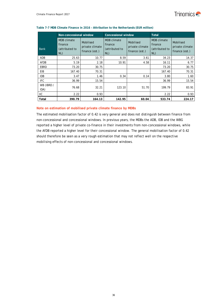

| Non-concessional window |                                                        |                                                | <b>Concessional window</b>                             |                                                |                                                        | <b>Total</b>                                   |  |
|-------------------------|--------------------------------------------------------|------------------------------------------------|--------------------------------------------------------|------------------------------------------------|--------------------------------------------------------|------------------------------------------------|--|
| <b>Bank</b>             | <b>MDB</b> climate<br>finance<br>(attributed to<br>NL) | Mobilised<br>private climate<br>finance (est.) | <b>MDB</b> climate<br>finance<br>(attributed to<br>NL) | Mobilised<br>private climate<br>finance (est.) | <b>MDB</b> climate<br>finance<br>(attributed to<br>NL) | Mobilised<br>private climate<br>finance (est.) |  |
| ADB                     | 25.63                                                  | 10.77                                          | 8.59                                                   | 3.61                                           | 34.23                                                  | 14.37                                          |  |
| AfDB                    | 5.19                                                   | 2.18                                           | 10.91                                                  | 4.58                                           | 16.11                                                  | 6.77                                           |  |
| EBRD                    | 73.20                                                  | 30.75                                          |                                                        |                                                | 73.20                                                  | 30.75                                          |  |
| <b>EIB</b>              | 167.40                                                 | 70.31                                          |                                                        |                                                | 167.40                                                 | 70.31                                          |  |
| IDB                     | 3.47                                                   | 1.46                                           | 0.34                                                   | 0.14                                           | 3.80                                                   | 1.60                                           |  |
| IFC.                    | 36.99                                                  | 15.54                                          |                                                        |                                                | 36.99                                                  | 15.54                                          |  |
| WB (IBRD /<br>IDA)      | 76.68                                                  | 32.21                                          | 123.10                                                 | 51.70                                          | 199.79                                                 | 83.91                                          |  |
| ШC                      | 2.22                                                   | 0.93                                           |                                                        |                                                | 2.22                                                   | 0.93                                           |  |
| Total                   | 390.79                                                 | 164.13                                         | 142.95                                                 | 60.04                                          | 533.74                                                 | 224.17                                         |  |

#### **Table 7-7 MDB Climate Finance in 2016 – Attribution to the Netherlands (EUR million)**

#### **Note on estimation of mobilised private climate finance by MDBs**

The estimated mobilisation factor of 0.42 is very general and does not distinguish between finance from non-concessional and concessional windows. In previous years, the MDBs the ADB, IDB and the WBG reported a higher level of private co-finance in their investments from non-concessional windows, while the AfDB reported a higher level for their concessional window. The general mobilisation factor of 0.42 should therefore be seen as a very rough estimation that may not reflect well on the respective mobilising effects of non-concessional and concessional windows.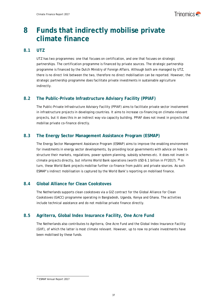

# <span id="page-36-0"></span>**8 Funds that indirectly mobilise private climate finance**

# <span id="page-36-1"></span>**8.1 UTZ**

UTZ has two programmes: one that focuses on certification, and one that focuses on strategic partnerships. The certification programme is financed by private sources. The strategic partnership programme is financed by the Dutch Ministry of Foreign Affairs. Although both are managed by UTZ, there is no direct link between the two, therefore no direct mobilisation can be reported. However, the strategic partnership programme does facilitate private investments in sustainable agriculture indirectly.

# <span id="page-36-2"></span>**8.2 The Public-Private Infrastructure Advisory Facility (PPIAF)**

The Public-Private Infrastructure Advisory Facility (PPIAF) aims to facilitate private sector involvement in infrastructure projects in developing countries. It aims to increase co-financing on climate-relevant projects, but it does this in an indirect way via capacity building. PPIAF does not invest in projects that mobilise private co-finance directly.

# <span id="page-36-3"></span>**8.3 The Energy Sector Management Assistance Program (ESMAP)**

The Energy Sector Management Assistance Program (ESMAP) aims to improve the enabling environment for investments in energy sector developments, by providing local governments with advice on how to structure their markets, regulations, power system planning, subsidy schemes etc. It does not invest in climate projects directly, but informs World Bank operations (worth USD 6.1 billion in FY2017)..<sup>38</sup> In turn, these World Bank projects mobilise further co-finance from public and private sources. As such ESMAP's indirect mobilisation is captured by the World Bank's reporting on mobilised finance.

# <span id="page-36-4"></span>**8.4 Global Alliance for Clean Cookstoves**

The Netherlands supports clean cookstoves via a GIZ contract for the Global Alliance for Clean Cookstoves (GACC) programme operating in Bangladesh, Uganda, Kenya and Ghana. The activities include technical assistance and do not mobilise private finance directly.

# <span id="page-36-5"></span>**8.5 Agriterra, Global Index Insurance Facility, One Acre Fund**

The Netherlands also contributes to Agriterra, One Acre Fund and the Global Index Insurance Facility (GIIF), of which the latter is most climate relevant. However, up to now no private investments have been mobilised by these funds.

 <sup>38</sup> ESMAP Annual Report 2017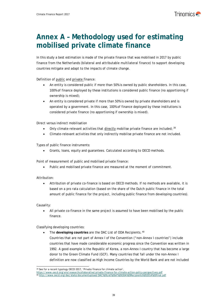

# <span id="page-38-0"></span>**Annex A – Methodology used for estimating mobilised private climate finance**

In this study a best estimation is made of the private finance that was mobilised in 2017 by public finance from the Netherlands (bilateral and attributable multilateral finance) to support developing countries mitigate and adapt to the impacts of climate change.

Definition of public and private finance:

- An entity is considered public if more than 50% is owned by public shareholders. In this case, 100% of finance deployed by these institutions is considered public finance (no apportioning if ownership is mixed);
- An entity is considered private if more than 50% is owned by private shareholders and is operated by a government. In this case, 100% of finance deployed by these institutions is considered private finance (no apportioning if ownership is mixed).

Direct versus indirect mobilisation

- Only climate-relevant activities that  $\frac{directly}{}$  mobilise private finance are included;  $39$
- Climate-relevant activities that only indirectly mobilise private finance are not included.

Types of public finance instruments:

• Grants, loans, equity and guarantees. Calculated according to OECD methods.

Point of measurement of public and mobilised private finance:

• Public and mobilised private finance are measured at the moment of commitment.

Attribution:

• Attribution of private co-finance is based on OECD methods. If no methods are available, it is based on a pro rata calculation (based on the share of the Dutch public finance in the total amount of public finance for the project, including public finance from developing countries).

Causality:

• All private co-finance in the same project is assumed to have been mobilised by the public finance.

Classifying developing countries:

• The developing countries are the DAC List of ODA Recipients..<sup>40</sup> Countries that are not part of Annex I of the Convention ("non-Annex I countries") include countries that have made considerable economic progress since the Convention was written in 1992. A good example is the Republic of Korea, a non-Annex I country that has become a large donor to the Green Climate Fund (GCF). Many countries that fall under the non-Annex I definition are now classified as High Income Countries by the World Bank and are not included

<sup>&</sup>lt;sup>39</sup> See for a recent typology OECD 2017, 'Private finance for climate action',

<https://www.oecd.org/env/researchcollaborative/private-finance-for-climate-action-policy-perspectives.pdf>

<sup>40</sup> <http://www.oecd.org/dac/stats/documentupload/DAC%20List%20of%20ODA%20Recipients%202014%20final.pdf>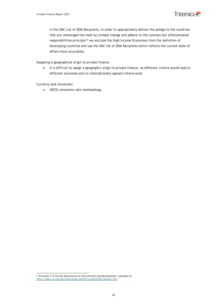

in the DAC List of ODA Recipients. In order to appropriately deliver the pledge to the countries that are challenged the most by climate change and adhere to the common but differentiated responsibilities principle.<sup>41</sup> we exclude the High Income Economies from the definition of developing countries and use the DAC list of ODA Recipients which reflects the current state of affairs more accurately.

Assigning a geographical origin to private finance:

• It is difficult to assign a geographic origin to private finance, as different criteria would lead to different outcomes and no internationally agreed criteria exist.

Currency and conversion:

• OECD conversion rate methodology.

 <sup>41</sup> Principle 7 of the Rio Declaration on Environment and Development, available at <http://www.un.org/documents/ga/conf151/aconf15126-1annex1.htm>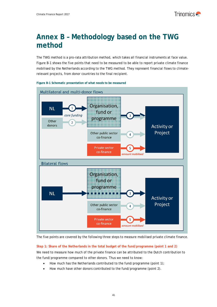

# <span id="page-40-0"></span>**Annex B – Methodology based on the TWG method**

The TWG method is a pro-rata attribution method, which takes all financial instruments at face value. Figure B-1 shows the five points that need to be measured to be able to report private climate finance mobilised by the Netherlands according to the TWG method. They represent financial flows to climaterelevant projects, from donor countries to the final recipient.





The five points are covered by the following three steps to measure mobilised private climate finance.

#### **Step 1: Share of the Netherlands in the total budget of the fund/programme (point 1 and 2)**

We need to measure how much of the private finance can be attributed to the Dutch contribution to the fund/programme compared to other donors. Thus we need to know:

- How much has the Netherlands contributed to the fund/programme (point 1);
- How much have other donors contributed to the fund/programme (point 2).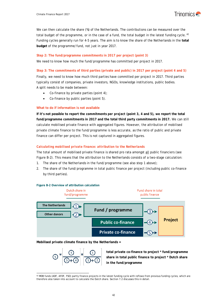

We can then calculate the share (%) of the Netherlands. The contributions can be measured over the total budget of the programme, or in the case of a fund, the total budget in the latest funding cycle..<sup>42</sup> Funding cycles generally run for 4-5 years. The aim is to know the share of the Netherlands in the **total budget** of the programme/fund, not just in year 2017.

#### **Step 2: The fund/programme commitments in 2017 per project (point 3)**

We need to know how much the fund/programme has committed per project in 2017.

#### **Step 3: The commitments of third parties (private and public) in 2017 per project (point 4 and 5)**

Finally, we need to know how much third parties have committed per project in 2017. Third parties typically consist of companies, private investors, NGOs, knowledge institutions, public bodies. A split needs to be made between:

- Co-finance by private parties (point 4);
- Co-finance by public parties (point 5).

#### **What to do if information is not available**

**If it's not possible to report the commitments** *per project* **(point 3, 4 and 5), we report the total fund/programme commitments in 2017 and the total third party commitments in 2017.** We can still calculate mobilised private finance with aggregated figures. However, the attribution of mobilised private climate finance to the fund/programme is less accurate, as the ratio of public and private finance can differ per project. This is not captured in aggregated figures.

#### *Calculating mobilised private finance: attribution to the Netherlands*

The total amount of mobilised private finance is shared pro rata amongst all public financiers (see Figure B-2). This means that the attribution to the Netherlands consists of a two-stage calculation:

- 1. The share of the Netherlands in the fund/programme (see also step 1 above);
- 2. The share of the fund/programme in total public finance per project (including public co-finance by third parties).



#### **Mobilised private climate finance by the Netherlands =**



**total private co-finance to project \* fund/programme share in total public finance to project \* Dutch share in the fund/programme**

 <sup>42</sup> MDB funds (ADF, AFDF, FSO) partly finance projects in the latest funding cycle with reflows from previous funding cycles, which are therefore also taken into account to calculate the Dutch share. Section 7.2 discusses this in detail.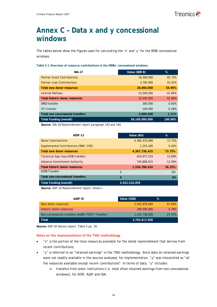

# <span id="page-42-0"></span>**Annex C – Data x and y concessional windows**

The tables below show the figures used for calculating the 'x' and 'y' for the MDB concessional windows.

**Table C-1 Overview of resource contributions in the MDBs' concessional windows.**

| <b>IDA-17</b>                           | Value (SDR B)  | %       |
|-----------------------------------------|----------------|---------|
| <b>Partner Grant Contributions</b>      | 16,500,000     | 45.71%  |
| <b>Partner Loan Contributions</b>       | 3,700,000      | 10.25%  |
| Total new donor resources               | 20,000,000     | 55.96%  |
| Internal Reflows                        | 15,500,000     | 42.94%  |
| Total historic donor resources          | 15,500,000     | 42.94%  |
| <b>IBRD</b> transfer                    | 300,000        | 0.83%   |
| <b>IFC</b> transfer                     | 100,000        | 0.28%   |
| <b>Total non-concessional transfers</b> | 4,000,000      | 1.11%   |
| <b>Total Funding (overall)</b>          | 36,100,000,000 | 100.00% |

**Source:** IDA-18 Replenishment report paragraph 143 and 144.

| AfDF-13                               | Value (AU)    | %      |
|---------------------------------------|---------------|--------|
| <b>Donor Contributions</b>            | 4,366,476,999 | 73.73% |
| Supplemental Contributions (SWE, CHE) | 1,253,426     | 0.02%  |
| Total new donor resources             | 4,367,730,425 | 73.75% |
| Technical Gap (less AfDB transfer)    | 810, 977, 519 | 13.69% |
| Advance Commitment Authority          | 743,808,915   | 12.56% |
| Total historic donor resources        | 1,554,786,434 | 26.25% |
| <b>AfDB</b> Transfer                  | $\Omega$      | $0\%$  |
| Total non-concessional transfers      | $\Omega$      | 0%     |
| <b>Total Funding (overall)</b>        | 5,922,516,859 |        |

**Source:** ADF-14 Replenishment report, Annex I.

| AsDF-XI                                            | Value (USD)   | %      |
|----------------------------------------------------|---------------|--------|
| New donor resources                                | 2.545.879.658 | 67.64% |
| Historic donor resources                           | 180,000,000   | 4.78%  |
| Non-concessional transfers (AsDB ("OCR") Transfer) | 1,037,738,000 | 27.57% |
| Total                                              | 3,763,617,658 |        |

**Source:** ADF-XII Donors report, Table 5 pp. 24.

#### **Notes on the implementation of the TWG methodology**

- "x" is the portion of the total resources available for the latest replenishment that derives from recent contributions;
- "y" is referred to as "retained earnings" in the TWG methodology. Since data on retained earnings were not readily available in the sources analysed, for implementation, "y" was interpreted as "all the resources available except recent contributions" In terms of data, "y" includes:
	- o transfers from sister institutions (i.e. most often retained earnings from non-concessional windows); for AfDF, AsDF and IDA;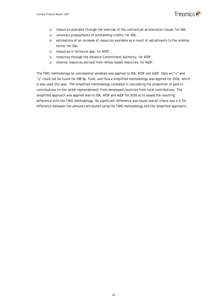

- o resources available through the exercise of the contractual acceleration clause; for IDA;
- o voluntary prepayments of outstanding credits; for IDA;
- o estimations of an increase of resources available as a result of adjustments to the lending terms; for IDA;
- o resources in technical gap; for AfDF;
- o resources through the Advance Commitment Authority; for AfDF;
- o internal resources derived from reflow-based resources; for AsDF.

The TWG methodology on concessional windows was applied to IDA, AfDF and AsDF. Data on "x" and "y" could not be found for IDB Sp. Fund, and thus a simplified methodology was applied for 2016, which is also used this year. The simplified methodology consisted in calculating the proportion of paid-in contributions (in the latest replenishment) from developed countries from total contributions. The simplified approach was applied also to IDA, AfDF and AsDF for 2016 as to assess the resulting difference with the TWG methodology. No significant difference was found overall (there was a 0.5% difference between the amounts attributed using the TWG methodology and the simplified approach).